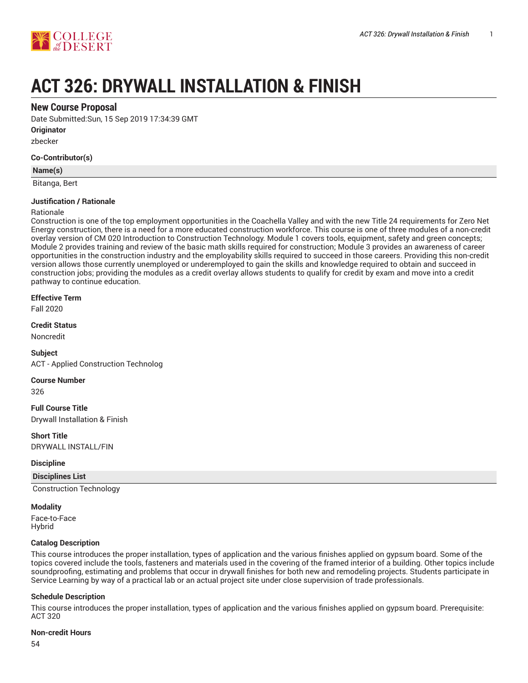

# **ACT 326: DRYWALL INSTALLATION & FINISH**

## **New Course Proposal**

Date Submitted:Sun, 15 Sep 2019 17:34:39 GMT

**Originator**

zbecker

#### **Co-Contributor(s)**

#### **Name(s)**

Bitanga, Bert

#### **Justification / Rationale**

#### Rationale

Construction is one of the top employment opportunities in the Coachella Valley and with the new Title 24 requirements for Zero Net Energy construction, there is a need for a more educated construction workforce. This course is one of three modules of a non-credit overlay version of CM 020 Introduction to Construction Technology. Module 1 covers tools, equipment, safety and green concepts; Module 2 provides training and review of the basic math skills required for construction; Module 3 provides an awareness of career opportunities in the construction industry and the employability skills required to succeed in those careers. Providing this non-credit version allows those currently unemployed or underemployed to gain the skills and knowledge required to obtain and succeed in construction jobs; providing the modules as a credit overlay allows students to qualify for credit by exam and move into a credit pathway to continue education.

#### **Effective Term**

Fall 2020

#### **Credit Status**

Noncredit

#### **Subject**

ACT - Applied Construction Technolog

#### **Course Number**

326

#### **Full Course Title** Drywall Installation & Finish

**Short Title** DRYWALL INSTALL/FIN

#### **Discipline**

#### **Disciplines List**

Construction Technology

**Modality**

Face-to-Face Hybrid

#### **Catalog Description**

This course introduces the proper installation, types of application and the various finishes applied on gypsum board. Some of the topics covered include the tools, fasteners and materials used in the covering of the framed interior of a building. Other topics include soundproofing, estimating and problems that occur in drywall finishes for both new and remodeling projects. Students participate in Service Learning by way of a practical lab or an actual project site under close supervision of trade professionals.

#### **Schedule Description**

This course introduces the proper installation, types of application and the various finishes applied on gypsum board. Prerequisite: ACT 320

#### **Non-credit Hours**

54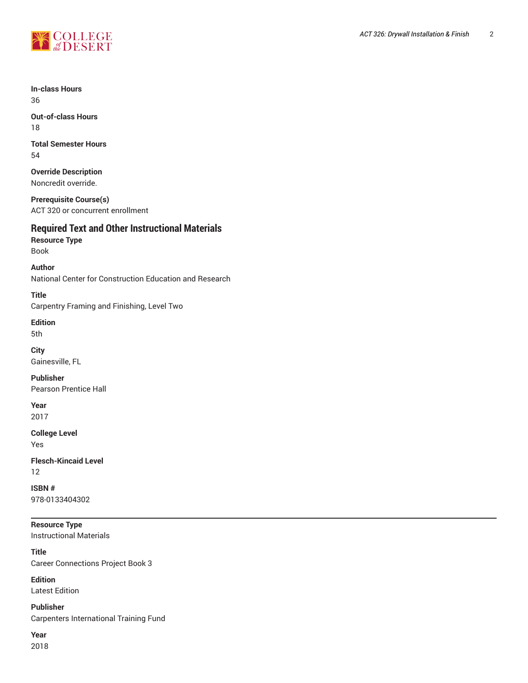

**In-class Hours** 36

**Out-of-class Hours** 18

**Total Semester Hours** 54

**Override Description** Noncredit override.

**Prerequisite Course(s)** ACT 320 or concurrent enrollment

## **Required Text and Other Instructional Materials**

**Resource Type** Book

**Author** National Center for Construction Education and Research

**Title** Carpentry Framing and Finishing, Level Two

**Edition**

5th

**City** Gainesville, FL

**Publisher** Pearson Prentice Hall

**Year** 2017

**College Level**

Yes

**Flesch-Kincaid Level** 12

**ISBN #** 978-0133404302

**Resource Type** Instructional Materials

**Title** Career Connections Project Book 3

**Edition** Latest Edition

**Publisher** Carpenters International Training Fund

**Year**

2018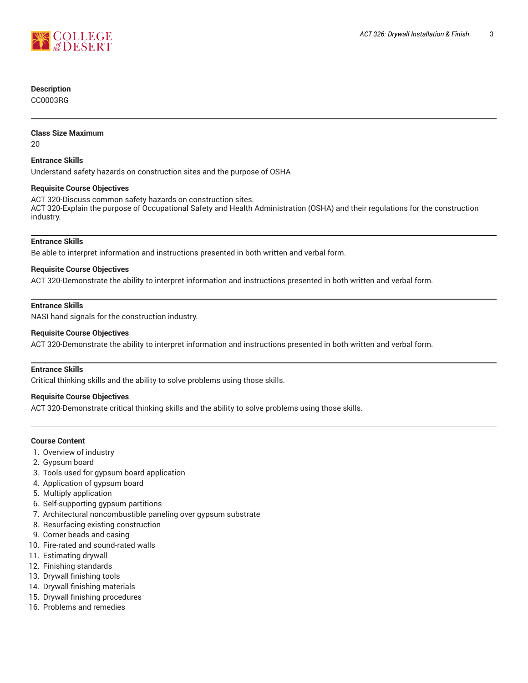

#### **Description**

CC0003RG

#### **Class Size Maximum**

20

#### **Entrance Skills**

Understand safety hazards on construction sites and the purpose of OSHA

#### **Requisite Course Objectives**

ACT 320-Discuss common safety hazards on construction sites. ACT 320-Explain the purpose of Occupational Safety and Health Administration (OSHA) and their regulations for the construction industry.

#### **Entrance Skills**

Be able to interpret information and instructions presented in both written and verbal form.

#### **Requisite Course Objectives**

ACT 320-Demonstrate the ability to interpret information and instructions presented in both written and verbal form.

#### **Entrance Skills**

NASI hand signals for the construction industry.

#### **Requisite Course Objectives**

ACT 320-Demonstrate the ability to interpret information and instructions presented in both written and verbal form.

### **Entrance Skills**

Critical thinking skills and the ability to solve problems using those skills.

#### **Requisite Course Objectives**

ACT 320-Demonstrate critical thinking skills and the ability to solve problems using those skills.

#### **Course Content**

- 1. Overview of industry
- 2. Gypsum board
- 3. Tools used for gypsum board application
- 4. Application of gypsum board
- 5. Multiply application
- 6. Self-supporting gypsum partitions
- 7. Architectural noncombustible paneling over gypsum substrate
- 8. Resurfacing existing construction
- 9. Corner beads and casing
- 10. Fire-rated and sound-rated walls
- 11. Estimating drywall
- 12. Finishing standards
- 13. Drywall finishing tools
- 14. Drywall finishing materials
- 15. Drywall finishing procedures
- 16. Problems and remedies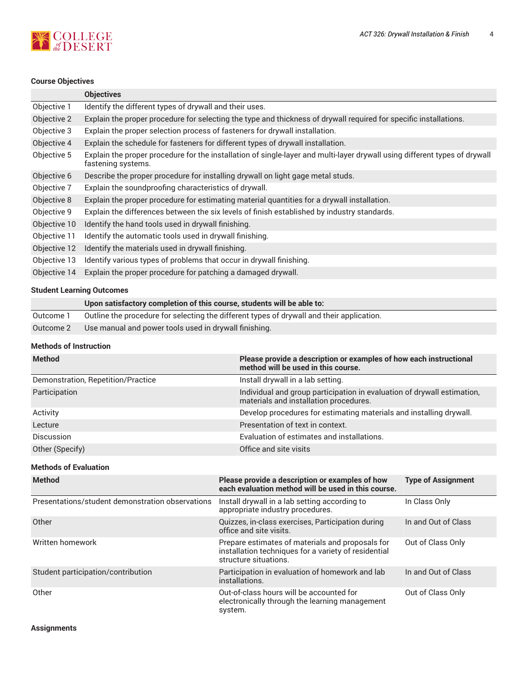

# **Course Objectives**

|              | <b>Objectives</b>                                                                                                                                |
|--------------|--------------------------------------------------------------------------------------------------------------------------------------------------|
| Objective 1  | Identify the different types of drywall and their uses.                                                                                          |
| Objective 2  | Explain the proper procedure for selecting the type and thickness of drywall required for specific installations.                                |
| Objective 3  | Explain the proper selection process of fasteners for drywall installation.                                                                      |
| Objective 4  | Explain the schedule for fasteners for different types of drywall installation.                                                                  |
| Objective 5  | Explain the proper procedure for the installation of single-layer and multi-layer drywall using different types of drywall<br>fastening systems. |
| Objective 6  | Describe the proper procedure for installing drywall on light gage metal studs.                                                                  |
| Objective 7  | Explain the soundproofing characteristics of drywall.                                                                                            |
| Objective 8  | Explain the proper procedure for estimating material quantities for a drywall installation.                                                      |
| Objective 9  | Explain the differences between the six levels of finish established by industry standards.                                                      |
| Objective 10 | Identify the hand tools used in drywall finishing.                                                                                               |
| Objective 11 | Identify the automatic tools used in drywall finishing.                                                                                          |
| Objective 12 | Identify the materials used in drywall finishing.                                                                                                |
| Objective 13 | Identify various types of problems that occur in drywall finishing.                                                                              |
| Objective 14 | Explain the proper procedure for patching a damaged drywall.                                                                                     |
|              |                                                                                                                                                  |

## **Student Learning Outcomes**

|           | Upon satisfactory completion of this course, students will be able to:                    |
|-----------|-------------------------------------------------------------------------------------------|
| Outcome 1 | Outline the procedure for selecting the different types of drywall and their application. |
| Outcome 2 | Use manual and power tools used in drywall finishing.                                     |

## **Methods of Instruction**

| <b>Method</b>                      | Please provide a description or examples of how each instructional<br>method will be used in this course.         |
|------------------------------------|-------------------------------------------------------------------------------------------------------------------|
| Demonstration, Repetition/Practice | Install drywall in a lab setting.                                                                                 |
| Participation                      | Individual and group participation in evaluation of drywall estimation,<br>materials and installation procedures. |
| Activity                           | Develop procedures for estimating materials and installing drywall.                                               |
| Lecture                            | Presentation of text in context.                                                                                  |
| <b>Discussion</b>                  | Evaluation of estimates and installations.                                                                        |
| Other (Specify)                    | Office and site visits                                                                                            |

#### **Methods of Evaluation**

| <b>Method</b>                                    | Please provide a description or examples of how<br>each evaluation method will be used in this course.                            | <b>Type of Assignment</b> |
|--------------------------------------------------|-----------------------------------------------------------------------------------------------------------------------------------|---------------------------|
| Presentations/student demonstration observations | Install drywall in a lab setting according to<br>appropriate industry procedures.                                                 | In Class Only             |
| Other                                            | Quizzes, in-class exercises, Participation during<br>office and site visits.                                                      | In and Out of Class       |
| Written homework                                 | Prepare estimates of materials and proposals for<br>installation techniques for a variety of residential<br>structure situations. | Out of Class Only         |
| Student participation/contribution               | Participation in evaluation of homework and lab<br>installations.                                                                 | In and Out of Class       |
| Other                                            | Out-of-class hours will be accounted for<br>electronically through the learning management<br>system.                             | Out of Class Only         |

**Assignments**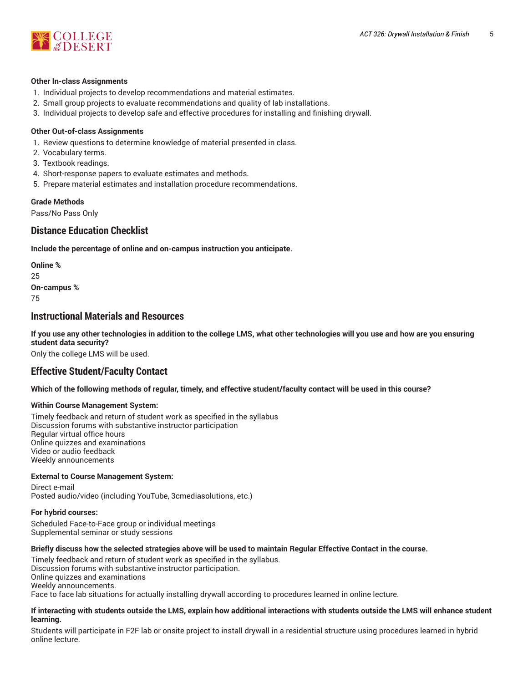

#### **Other In-class Assignments**

- 1. Individual projects to develop recommendations and material estimates.
- 2. Small group projects to evaluate recommendations and quality of lab installations.
- 3. Individual projects to develop safe and effective procedures for installing and finishing drywall.

#### **Other Out-of-class Assignments**

- 1. Review questions to determine knowledge of material presented in class.
- 2. Vocabulary terms.
- 3. Textbook readings.
- 4. Short-response papers to evaluate estimates and methods.
- 5. Prepare material estimates and installation procedure recommendations.

#### **Grade Methods**

Pass/No Pass Only

## **Distance Education Checklist**

**Include the percentage of online and on-campus instruction you anticipate.**

**Online %** 25 **On-campus %** 75

## **Instructional Materials and Resources**

If you use any other technologies in addition to the college LMS, what other technologies will you use and how are you ensuring **student data security?**

Only the college LMS will be used.

## **Effective Student/Faculty Contact**

Which of the following methods of regular, timely, and effective student/faculty contact will be used in this course?

#### **Within Course Management System:**

Timely feedback and return of student work as specified in the syllabus Discussion forums with substantive instructor participation Regular virtual office hours Online quizzes and examinations Video or audio feedback Weekly announcements

#### **External to Course Management System:**

Direct e-mail Posted audio/video (including YouTube, 3cmediasolutions, etc.)

#### **For hybrid courses:**

Scheduled Face-to-Face group or individual meetings Supplemental seminar or study sessions

#### Briefly discuss how the selected strategies above will be used to maintain Regular Effective Contact in the course.

Timely feedback and return of student work as specified in the syllabus. Discussion forums with substantive instructor participation. Online quizzes and examinations Weekly announcements. Face to face lab situations for actually installing drywall according to procedures learned in online lecture.

#### **If interacting with students outside the LMS, explain how additional interactions with students outside the LMS will enhance student learning.**

Students will participate in F2F lab or onsite project to install drywall in a residential structure using procedures learned in hybrid online lecture.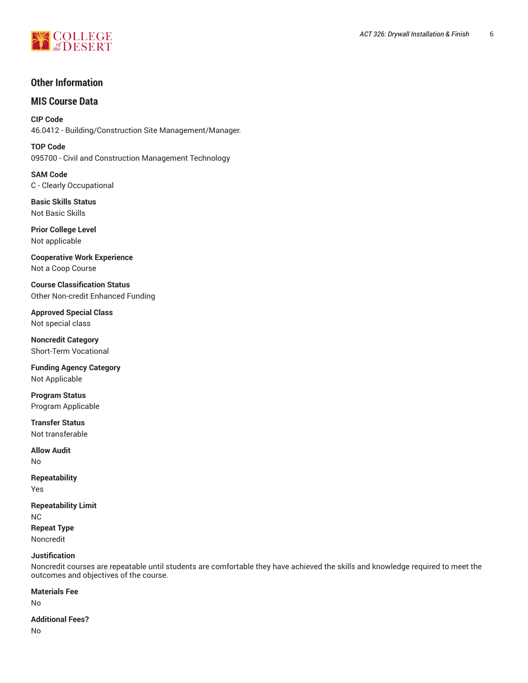

## **Other Information**

## **MIS Course Data**

**CIP Code** 46.0412 - Building/Construction Site Management/Manager.

**TOP Code** 095700 - Civil and Construction Management Technology

**SAM Code** C - Clearly Occupational

**Basic Skills Status** Not Basic Skills

**Prior College Level** Not applicable

**Cooperative Work Experience** Not a Coop Course

**Course Classification Status** Other Non-credit Enhanced Funding

**Approved Special Class** Not special class

**Noncredit Category** Short-Term Vocational

**Funding Agency Category** Not Applicable

**Program Status** Program Applicable

**Transfer Status** Not transferable

**Allow Audit** No

**Repeatability**

Yes

**Repeatability Limit** NC

**Repeat Type** Noncredit

#### **Justification**

Noncredit courses are repeatable until students are comfortable they have achieved the skills and knowledge required to meet the outcomes and objectives of the course.

#### **Materials Fee**

No

#### **Additional Fees?**

No